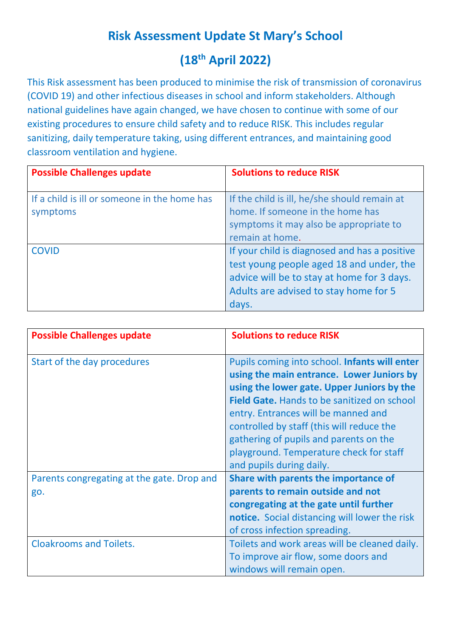# **Risk Assessment Update St Mary's School (18th April 2022)**

This Risk assessment has been produced to minimise the risk of transmission of coronavirus (COVID 19) and other infectious diseases in school and inform stakeholders. Although national guidelines have again changed, we have chosen to continue with some of our existing procedures to ensure child safety and to reduce RISK. This includes regular sanitizing, daily temperature taking, using different entrances, and maintaining good classroom ventilation and hygiene.

| <b>Possible Challenges update</b>                        | <b>Solutions to reduce RISK</b>                                                                                                                                                           |
|----------------------------------------------------------|-------------------------------------------------------------------------------------------------------------------------------------------------------------------------------------------|
| If a child is ill or someone in the home has<br>symptoms | If the child is ill, he/she should remain at<br>home. If someone in the home has<br>symptoms it may also be appropriate to<br>remain at home.                                             |
| <b>COVID</b>                                             | If your child is diagnosed and has a positive<br>test young people aged 18 and under, the<br>advice will be to stay at home for 3 days.<br>Adults are advised to stay home for 5<br>days. |

| <b>Possible Challenges update</b>                 | <b>Solutions to reduce RISK</b>                                                                                                                                                                                                                                                                                                                                                                     |
|---------------------------------------------------|-----------------------------------------------------------------------------------------------------------------------------------------------------------------------------------------------------------------------------------------------------------------------------------------------------------------------------------------------------------------------------------------------------|
| Start of the day procedures                       | Pupils coming into school. Infants will enter<br>using the main entrance. Lower Juniors by<br>using the lower gate. Upper Juniors by the<br><b>Field Gate.</b> Hands to be sanitized on school<br>entry. Entrances will be manned and<br>controlled by staff (this will reduce the<br>gathering of pupils and parents on the<br>playground. Temperature check for staff<br>and pupils during daily. |
| Parents congregating at the gate. Drop and<br>go. | Share with parents the importance of<br>parents to remain outside and not<br>congregating at the gate until further<br>notice. Social distancing will lower the risk<br>of cross infection spreading.                                                                                                                                                                                               |
| <b>Cloakrooms and Toilets.</b>                    | Toilets and work areas will be cleaned daily.<br>To improve air flow, some doors and<br>windows will remain open.                                                                                                                                                                                                                                                                                   |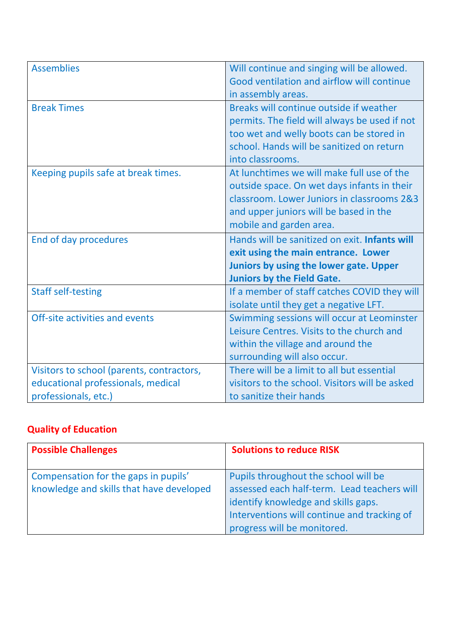| <b>Assemblies</b>                         | Will continue and singing will be allowed.           |
|-------------------------------------------|------------------------------------------------------|
|                                           | Good ventilation and airflow will continue           |
|                                           | in assembly areas.                                   |
| <b>Break Times</b>                        | Breaks will continue outside if weather              |
|                                           | permits. The field will always be used if not        |
|                                           | too wet and welly boots can be stored in             |
|                                           | school. Hands will be sanitized on return            |
|                                           | into classrooms.                                     |
| Keeping pupils safe at break times.       | At lunchtimes we will make full use of the           |
|                                           | outside space. On wet days infants in their          |
|                                           | classroom. Lower Juniors in classrooms 2&3           |
|                                           | and upper juniors will be based in the               |
|                                           | mobile and garden area.                              |
|                                           |                                                      |
| End of day procedures                     | Hands will be sanitized on exit. <b>Infants will</b> |
|                                           | exit using the main entrance. Lower                  |
|                                           | Juniors by using the lower gate. Upper               |
|                                           | <b>Juniors by the Field Gate.</b>                    |
| <b>Staff self-testing</b>                 | If a member of staff catches COVID they will         |
|                                           | isolate until they get a negative LFT.               |
| Off-site activities and events            | Swimming sessions will occur at Leominster           |
|                                           | Leisure Centres. Visits to the church and            |
|                                           | within the village and around the                    |
|                                           | surrounding will also occur.                         |
| Visitors to school (parents, contractors, | There will be a limit to all but essential           |
| educational professionals, medical        | visitors to the school. Visitors will be asked       |

#### **Quality of Education**

| <b>Possible Challenges</b>                                                       | <b>Solutions to reduce RISK</b>                                                                                                                                                                          |
|----------------------------------------------------------------------------------|----------------------------------------------------------------------------------------------------------------------------------------------------------------------------------------------------------|
| Compensation for the gaps in pupils'<br>knowledge and skills that have developed | Pupils throughout the school will be<br>assessed each half-term. Lead teachers will<br>identify knowledge and skills gaps.<br>Interventions will continue and tracking of<br>progress will be monitored. |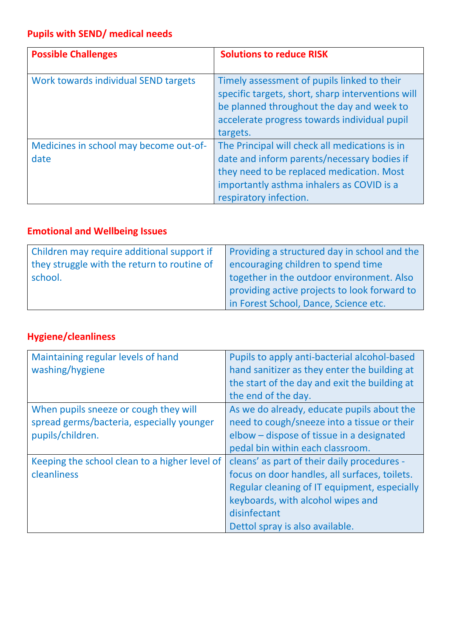### **Pupils with SEND/ medical needs**

| <b>Possible Challenges</b>             | <b>Solutions to reduce RISK</b>                                                                                                                                                                           |
|----------------------------------------|-----------------------------------------------------------------------------------------------------------------------------------------------------------------------------------------------------------|
| Work towards individual SEND targets   | Timely assessment of pupils linked to their<br>specific targets, short, sharp interventions will<br>be planned throughout the day and week to<br>accelerate progress towards individual pupil<br>targets. |
| Medicines in school may become out-of- | The Principal will check all medications is in                                                                                                                                                            |
| date                                   | date and inform parents/necessary bodies if<br>they need to be replaced medication. Most<br>importantly asthma inhalers as COVID is a<br>respiratory infection.                                           |

### **Emotional and Wellbeing Issues**

| Children may require additional support if  | Providing a structured day in school and the |
|---------------------------------------------|----------------------------------------------|
|                                             |                                              |
| they struggle with the return to routine of | encouraging children to spend time           |
| school.                                     | together in the outdoor environment. Also    |
|                                             | providing active projects to look forward to |
|                                             | in Forest School, Dance, Science etc.        |

## **Hygiene/cleanliness**

| Maintaining regular levels of hand<br>washing/hygiene | Pupils to apply anti-bacterial alcohol-based<br>hand sanitizer as they enter the building at<br>the start of the day and exit the building at<br>the end of the day. |
|-------------------------------------------------------|----------------------------------------------------------------------------------------------------------------------------------------------------------------------|
| When pupils sneeze or cough they will                 | As we do already, educate pupils about the                                                                                                                           |
| spread germs/bacteria, especially younger             | need to cough/sneeze into a tissue or their                                                                                                                          |
| pupils/children.                                      | elbow - dispose of tissue in a designated                                                                                                                            |
|                                                       | pedal bin within each classroom.                                                                                                                                     |
| Keeping the school clean to a higher level of         | cleans' as part of their daily procedures -                                                                                                                          |
| cleanliness                                           | focus on door handles, all surfaces, toilets.                                                                                                                        |
|                                                       | Regular cleaning of IT equipment, especially                                                                                                                         |
|                                                       | keyboards, with alcohol wipes and                                                                                                                                    |
|                                                       | disinfectant                                                                                                                                                         |
|                                                       | Dettol spray is also available.                                                                                                                                      |